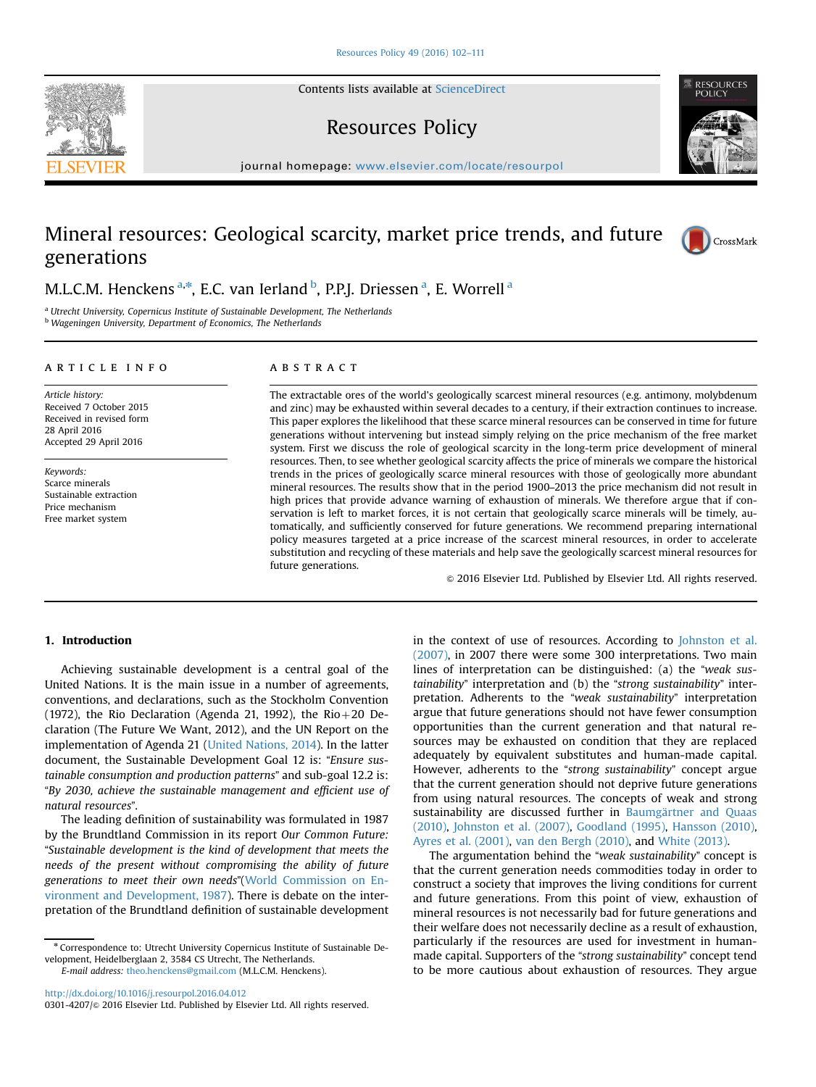Contents lists available at [ScienceDirect](www.sciencedirect.com/science/journal/03014207)

# Resources Policy

journal homepage: <www.elsevier.com/locate/resourpol>

# Mineral resources: Geological scarcity, market price trends, and future generations

M.L.C.M. Henckens <sup>a,\*</sup>, E.C. van Ierland <sup>b</sup>, P.P.J. Driessen <sup>a</sup>, E. Worrell <sup>a</sup>

<sup>a</sup> Utrecht University, Copernicus Institute of Sustainable Development, The Netherlands

<sup>b</sup> Wageningen University, Department of Economics, The Netherlands

## article info

Article history: Received 7 October 2015 Received in revised form 28 April 2016 Accepted 29 April 2016

Keywords: Scarce minerals Sustainable extraction Price mechanism Free market system

# **ABSTRACT**

The extractable ores of the world's geologically scarcest mineral resources (e.g. antimony, molybdenum and zinc) may be exhausted within several decades to a century, if their extraction continues to increase. This paper explores the likelihood that these scarce mineral resources can be conserved in time for future generations without intervening but instead simply relying on the price mechanism of the free market system. First we discuss the role of geological scarcity in the long-term price development of mineral resources. Then, to see whether geological scarcity affects the price of minerals we compare the historical trends in the prices of geologically scarce mineral resources with those of geologically more abundant mineral resources. The results show that in the period 1900–2013 the price mechanism did not result in high prices that provide advance warning of exhaustion of minerals. We therefore argue that if conservation is left to market forces, it is not certain that geologically scarce minerals will be timely, automatically, and sufficiently conserved for future generations. We recommend preparing international policy measures targeted at a price increase of the scarcest mineral resources, in order to accelerate substitution and recycling of these materials and help save the geologically scarcest mineral resources for future generations.

& 2016 Elsevier Ltd. Published by Elsevier Ltd. All rights reserved.

# 1. Introduction

Achieving sustainable development is a central goal of the United Nations. It is the main issue in a number of agreements, conventions, and declarations, such as the Stockholm Convention (1972), the Rio Declaration (Agenda 21, 1992), the Rio $+20$  Declaration (The Future We Want, 2012), and the UN Report on the implementation of Agenda 21 ([United Nations, 2014](#page-9-0)). In the latter document, the Sustainable Development Goal 12 is: "Ensure sustainable consumption and production patterns" and sub-goal 12.2 is: "By 2030, achieve the sustainable management and efficient use of natural resources".

The leading definition of sustainability was formulated in 1987 by the Brundtland Commission in its report Our Common Future: "Sustainable development is the kind of development that meets the needs of the present without compromising the ability of future generations to meet their own needs"([World Commission on En](#page-9-0)[vironment and Development, 1987\)](#page-9-0). There is debate on the interpretation of the Brundtland definition of sustainable development

<http://dx.doi.org/10.1016/j.resourpol.2016.04.012>

in the context of use of resources. According to [Johnston et al.](#page-9-0) [\(2007\),](#page-9-0) in 2007 there were some 300 interpretations. Two main lines of interpretation can be distinguished: (a) the "weak sustainability" interpretation and (b) the "strong sustainability" interpretation. Adherents to the "weak sustainability" interpretation argue that future generations should not have fewer consumption opportunities than the current generation and that natural resources may be exhausted on condition that they are replaced adequately by equivalent substitutes and human-made capital. However, adherents to the "strong sustainability" concept argue that the current generation should not deprive future generations from using natural resources. The concepts of weak and strong sustainability are discussed further in [Baumgärtner and Quaas](#page-9-0) [\(2010\),](#page-9-0) [Johnston et al. \(2007\),](#page-9-0) [Goodland \(1995\),](#page-9-0) [Hansson \(2010\),](#page-9-0) [Ayres et al. \(2001\),](#page-9-0) [van den Bergh \(2010\)](#page-9-0), and [White \(2013\)](#page-9-0).

The argumentation behind the "weak sustainability" concept is that the current generation needs commodities today in order to construct a society that improves the living conditions for current and future generations. From this point of view, exhaustion of mineral resources is not necessarily bad for future generations and their welfare does not necessarily decline as a result of exhaustion, particularly if the resources are used for investment in humanmade capital. Supporters of the "strong sustainability" concept tend to be more cautious about exhaustion of resources. They argue





 $CrossMark$ 

<sup>n</sup> Correspondence to: Utrecht University Copernicus Institute of Sustainable Development, Heidelberglaan 2, 3584 CS Utrecht, The Netherlands. E-mail address: [theo.henckens@gmail.com](mailto:theo.henckens@gmail.com) (M.L.C.M. Henckens).

<sup>0301-4207/@ 2016</sup> Elsevier Ltd. Published by Elsevier Ltd. All rights reserved.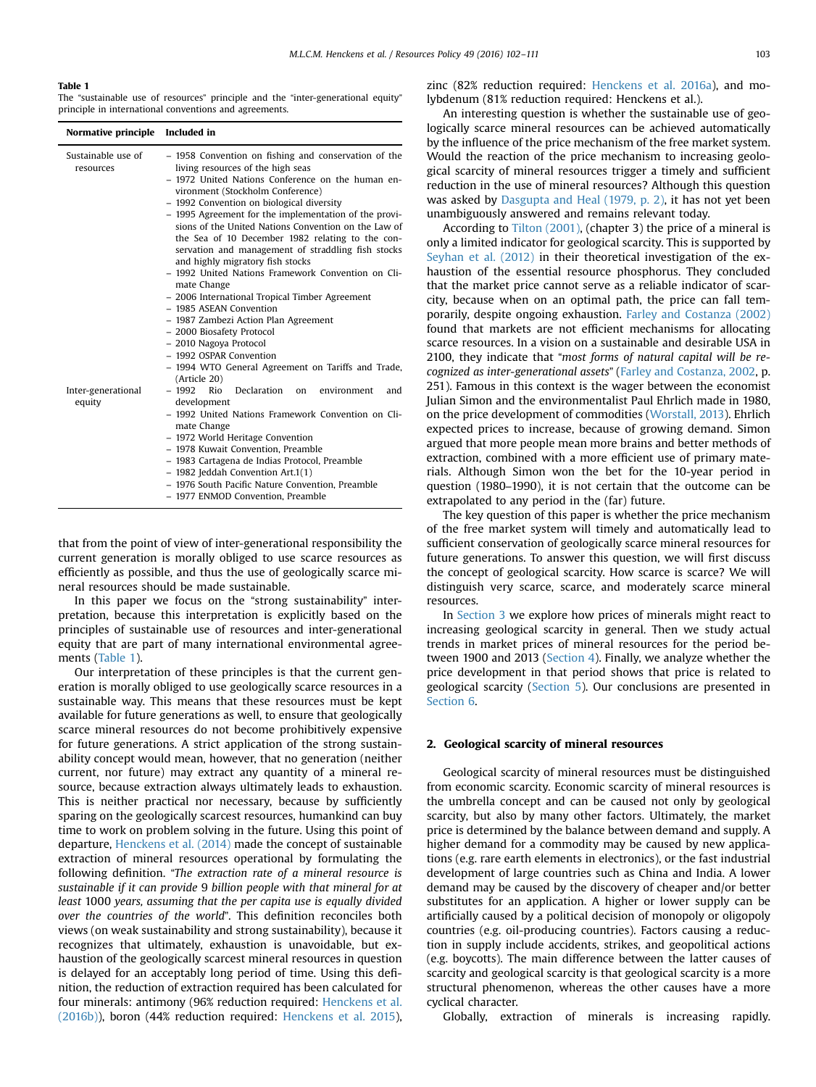### <span id="page-1-0"></span>Table 1

The "sustainable use of resources" principle and the "inter-generational equity" principle in international conventions and agreements.

| Sustainable use of<br>- 1958 Convention on fishing and conservation of the<br>living resources of the high seas<br>resources<br>- 1972 United Nations Conference on the human en-<br>vironment (Stockholm Conference)<br>- 1992 Convention on biological diversity<br>- 1995 Agreement for the implementation of the provi-<br>sions of the United Nations Convention on the Law of<br>the Sea of 10 December 1982 relating to the con-<br>servation and management of straddling fish stocks<br>and highly migratory fish stocks<br>- 1992 United Nations Framework Convention on Cli-<br>mate Change<br>- 2006 International Tropical Timber Agreement<br>- 1985 ASEAN Convention<br>- 1987 Zambezi Action Plan Agreement<br>- 2000 Biosafety Protocol<br>- 2010 Nagoya Protocol<br>- 1992 OSPAR Convention<br>- 1994 WTO General Agreement on Tariffs and Trade,<br>(Article 20)<br>$-1992$<br>Rio<br>Declaration<br>Inter-generational<br>environment<br>and<br>on<br>equity<br>development<br>- 1992 United Nations Framework Convention on Cli-<br>mate Change<br>- 1972 World Heritage Convention<br>- 1978 Kuwait Convention. Preamble<br>- 1983 Cartagena de Indias Protocol, Preamble<br>- 1982 Jeddah Convention Art.1(1)<br>- 1976 South Pacific Nature Convention, Preamble<br>- 1977 ENMOD Convention, Preamble |
|-------------------------------------------------------------------------------------------------------------------------------------------------------------------------------------------------------------------------------------------------------------------------------------------------------------------------------------------------------------------------------------------------------------------------------------------------------------------------------------------------------------------------------------------------------------------------------------------------------------------------------------------------------------------------------------------------------------------------------------------------------------------------------------------------------------------------------------------------------------------------------------------------------------------------------------------------------------------------------------------------------------------------------------------------------------------------------------------------------------------------------------------------------------------------------------------------------------------------------------------------------------------------------------------------------------------------------|
|                                                                                                                                                                                                                                                                                                                                                                                                                                                                                                                                                                                                                                                                                                                                                                                                                                                                                                                                                                                                                                                                                                                                                                                                                                                                                                                               |

that from the point of view of inter-generational responsibility the current generation is morally obliged to use scarce resources as efficiently as possible, and thus the use of geologically scarce mineral resources should be made sustainable.

In this paper we focus on the "strong sustainability" interpretation, because this interpretation is explicitly based on the principles of sustainable use of resources and inter-generational equity that are part of many international environmental agreements (Table 1).

Our interpretation of these principles is that the current generation is morally obliged to use geologically scarce resources in a sustainable way. This means that these resources must be kept available for future generations as well, to ensure that geologically scarce mineral resources do not become prohibitively expensive for future generations. A strict application of the strong sustainability concept would mean, however, that no generation (neither current, nor future) may extract any quantity of a mineral resource, because extraction always ultimately leads to exhaustion. This is neither practical nor necessary, because by sufficiently sparing on the geologically scarcest resources, humankind can buy time to work on problem solving in the future. Using this point of departure, [Henckens et al. \(2014\)](#page-9-0) made the concept of sustainable extraction of mineral resources operational by formulating the following definition. "The extraction rate of a mineral resource is sustainable if it can provide 9 billion people with that mineral for at least 1000 years, assuming that the per capita use is equally divided over the countries of the world". This definition reconciles both views (on weak sustainability and strong sustainability), because it recognizes that ultimately, exhaustion is unavoidable, but exhaustion of the geologically scarcest mineral resources in question is delayed for an acceptably long period of time. Using this definition, the reduction of extraction required has been calculated for four minerals: antimony (96% reduction required: [Henckens et al.](#page-9-0) [\(2016b\)\)](#page-9-0), boron (44% reduction required: [Henckens et al. 2015\)](#page-9-0),

zinc (82% reduction required: [Henckens et al. 2016a\)](#page-9-0), and molybdenum (81% reduction required: Henckens et al.).

An interesting question is whether the sustainable use of geoogically scarce mineral resources can be achieved automatically by the influence of the price mechanism of the free market system. Would the reaction of the price mechanism to increasing geological scarcity of mineral resources trigger a timely and sufficient reduction in the use of mineral resources? Although this question vas asked by [Dasgupta and Heal \(1979, p. 2\),](#page-9-0) it has not yet been unambiguously answered and remains relevant today.

According to [Tilton \(2001\)](#page-9-0), (chapter 3) the price of a mineral is only a limited indicator for geological scarcity. This is supported by [Seyhan et al. \(2012\)](#page-9-0) in their theoretical investigation of the exhaustion of the essential resource phosphorus. They concluded hat the market price cannot serve as a reliable indicator of scarity, because when on an optimal path, the price can fall temporarily, despite ongoing exhaustion. [Farley and Costanza \(2002\)](#page-9-0) found that markets are not efficient mechanisms for allocating carce resources. In a vision on a sustainable and desirable USA in 2100, they indicate that "most forms of natural capital will be re-ognized as inter-generational assets" [\(Farley and Costanza, 2002,](#page-9-0) p. 251). Famous in this context is the wager between the economist ulian Simon and the environmentalist Paul Ehrlich made in 1980, on the price development of commodities ([Worstall, 2013\)](#page-9-0). Ehrlich expected prices to increase, because of growing demand. Simon rgued that more people mean more brains and better methods of extraction, combined with a more efficient use of primary mateials. Although Simon won the bet for the 10-year period in question (1980–1990), it is not certain that the outcome can be extrapolated to any period in the (far) future.

The key question of this paper is whether the price mechanism of the free market system will timely and automatically lead to sufficient conservation of geologically scarce mineral resources for future generations. To answer this question, we will first discuss the concept of geological scarcity. How scarce is scarce? We will distinguish very scarce, scarce, and moderately scarce mineral resources.

In [Section 3](#page-4-0) we explore how prices of minerals might react to increasing geological scarcity in general. Then we study actual trends in market prices of mineral resources for the period between 1900 and 2013 [\(Section 4](#page-6-0)). Finally, we analyze whether the price development in that period shows that price is related to geological scarcity ([Section 5\)](#page-8-0). Our conclusions are presented in [Section 6.](#page-8-0)

#### 2. Geological scarcity of mineral resources

Geological scarcity of mineral resources must be distinguished from economic scarcity. Economic scarcity of mineral resources is the umbrella concept and can be caused not only by geological scarcity, but also by many other factors. Ultimately, the market price is determined by the balance between demand and supply. A higher demand for a commodity may be caused by new applications (e.g. rare earth elements in electronics), or the fast industrial development of large countries such as China and India. A lower demand may be caused by the discovery of cheaper and/or better substitutes for an application. A higher or lower supply can be artificially caused by a political decision of monopoly or oligopoly countries (e.g. oil-producing countries). Factors causing a reduction in supply include accidents, strikes, and geopolitical actions (e.g. boycotts). The main difference between the latter causes of scarcity and geological scarcity is that geological scarcity is a more structural phenomenon, whereas the other causes have a more cyclical character.

Globally, extraction of minerals is increasing rapidly.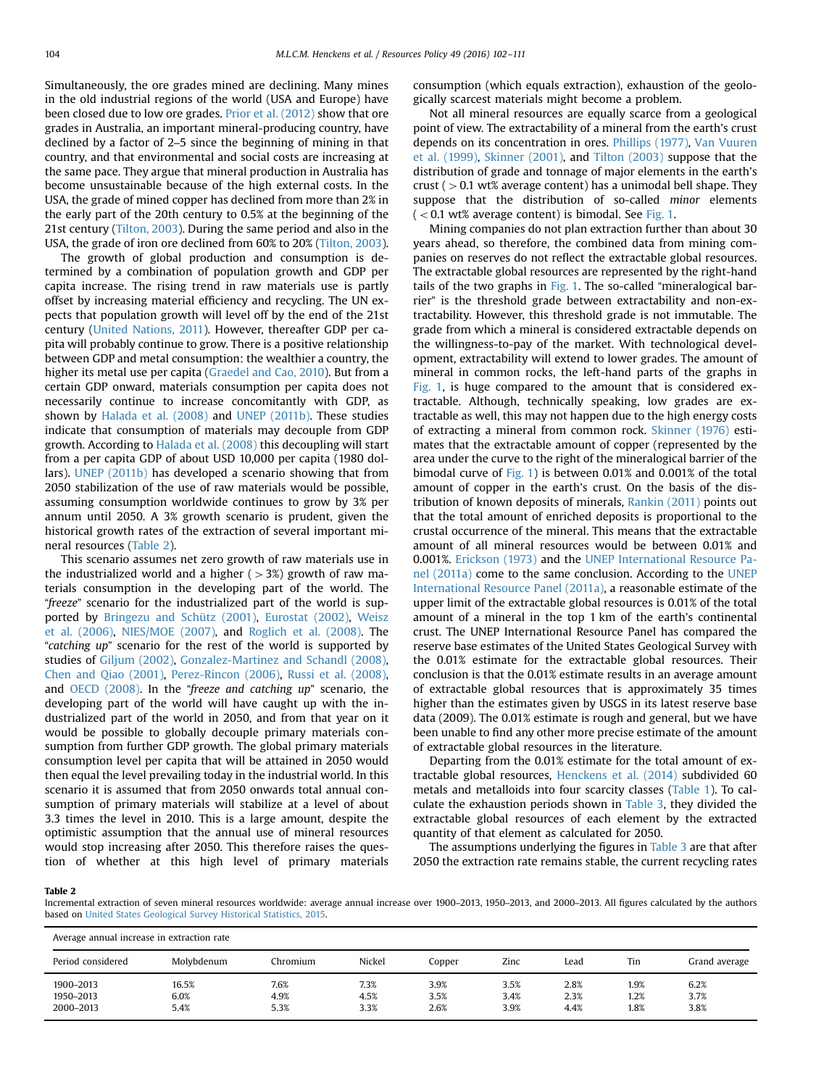Simultaneously, the ore grades mined are declining. Many mines in the old industrial regions of the world (USA and Europe) have been closed due to low ore grades. [Prior et al. \(2012\)](#page-9-0) show that ore grades in Australia, an important mineral-producing country, have declined by a factor of 2–5 since the beginning of mining in that country, and that environmental and social costs are increasing at the same pace. They argue that mineral production in Australia has become unsustainable because of the high external costs. In the USA, the grade of mined copper has declined from more than 2% in the early part of the 20th century to 0.5% at the beginning of the 21st century ([Tilton, 2003](#page-9-0)). During the same period and also in the USA, the grade of iron ore declined from 60% to 20% [\(Tilton, 2003\)](#page-9-0).

The growth of global production and consumption is determined by a combination of population growth and GDP per capita increase. The rising trend in raw materials use is partly offset by increasing material efficiency and recycling. The UN expects that population growth will level off by the end of the 21st century [\(United Nations, 2011\)](#page-9-0). However, thereafter GDP per capita will probably continue to grow. There is a positive relationship between GDP and metal consumption: the wealthier a country, the higher its metal use per capita ([Graedel and Cao, 2010\)](#page-9-0). But from a certain GDP onward, materials consumption per capita does not necessarily continue to increase concomitantly with GDP, as shown by [Halada et al. \(2008\)](#page-9-0) and [UNEP \(2011b\)](#page-9-0). These studies indicate that consumption of materials may decouple from GDP growth. According to [Halada et al. \(2008\)](#page-9-0) this decoupling will start from a per capita GDP of about USD 10,000 per capita (1980 dollars). [UNEP \(2011b\)](#page-9-0) has developed a scenario showing that from 2050 stabilization of the use of raw materials would be possible, assuming consumption worldwide continues to grow by 3% per annum until 2050. A 3% growth scenario is prudent, given the historical growth rates of the extraction of several important mineral resources (Table 2).

This scenario assumes net zero growth of raw materials use in the industrialized world and a higher  $(>3%)$  growth of raw materials consumption in the developing part of the world. The "freeze" scenario for the industrialized part of the world is supported by [Bringezu and Schütz \(2001\)](#page-9-0), [Eurostat \(2002\),](#page-9-0) [Weisz](#page-9-0) [et al. \(2006\),](#page-9-0) [NIES/MOE \(2007\),](#page-9-0) and [Roglich et al. \(2008\).](#page-9-0) The "catching up" scenario for the rest of the world is supported by studies of [Giljum \(2002\),](#page-9-0) [Gonzalez-Martinez and Schandl \(2008\),](#page-9-0) [Chen and Qiao \(2001\),](#page-9-0) [Perez-Rincon \(2006\)](#page-9-0), [Russi et al. \(2008\),](#page-9-0) and [OECD \(2008\).](#page-9-0) In the "freeze and catching up" scenario, the developing part of the world will have caught up with the industrialized part of the world in 2050, and from that year on it would be possible to globally decouple primary materials consumption from further GDP growth. The global primary materials consumption level per capita that will be attained in 2050 would then equal the level prevailing today in the industrial world. In this scenario it is assumed that from 2050 onwards total annual consumption of primary materials will stabilize at a level of about 3.3 times the level in 2010. This is a large amount, despite the optimistic assumption that the annual use of mineral resources would stop increasing after 2050. This therefore raises the question of whether at this high level of primary materials consumption (which equals extraction), exhaustion of the geologically scarcest materials might become a problem.

Not all mineral resources are equally scarce from a geological point of view. The extractability of a mineral from the earth's crust depends on its concentration in ores. [Phillips \(1977\),](#page-9-0) [Van Vuuren](#page-9-0) [et al. \(1999\),](#page-9-0) [Skinner \(2001\)](#page-9-0), and [Tilton \(2003\)](#page-9-0) suppose that the distribution of grade and tonnage of major elements in the earth's crust ( $>0.1$  wt% average content) has a unimodal bell shape. They suppose that the distribution of so-called minor elements  $( $0.1$  wt% average content) is bimodal. See [Fig. 1.](#page-3-0)$ 

Mining companies do not plan extraction further than about 30 years ahead, so therefore, the combined data from mining companies on reserves do not reflect the extractable global resources. The extractable global resources are represented by the right-hand tails of the two graphs in [Fig. 1](#page-3-0). The so-called "mineralogical barrier" is the threshold grade between extractability and non-extractability. However, this threshold grade is not immutable. The grade from which a mineral is considered extractable depends on the willingness-to-pay of the market. With technological development, extractability will extend to lower grades. The amount of mineral in common rocks, the left-hand parts of the graphs in [Fig. 1,](#page-3-0) is huge compared to the amount that is considered extractable. Although, technically speaking, low grades are extractable as well, this may not happen due to the high energy costs of extracting a mineral from common rock. [Skinner \(1976\)](#page-9-0) estimates that the extractable amount of copper (represented by the area under the curve to the right of the mineralogical barrier of the bimodal curve of [Fig. 1\)](#page-3-0) is between 0.01% and 0.001% of the total amount of copper in the earth's crust. On the basis of the distribution of known deposits of minerals, [Rankin \(2011\)](#page-9-0) points out that the total amount of enriched deposits is proportional to the crustal occurrence of the mineral. This means that the extractable amount of all mineral resources would be between 0.01% and 0.001%. [Erickson \(1973\)](#page-9-0) and the [UNEP International Resource Pa](#page-9-0)[nel \(2011a\)](#page-9-0) come to the same conclusion. According to the [UNEP](#page-9-0) [International Resource Panel \(2011a\)](#page-9-0), a reasonable estimate of the upper limit of the extractable global resources is 0.01% of the total amount of a mineral in the top 1 km of the earth's continental crust. The UNEP International Resource Panel has compared the reserve base estimates of the United States Geological Survey with the 0.01% estimate for the extractable global resources. Their conclusion is that the 0.01% estimate results in an average amount of extractable global resources that is approximately 35 times higher than the estimates given by USGS in its latest reserve base data (2009). The 0.01% estimate is rough and general, but we have been unable to find any other more precise estimate of the amount of extractable global resources in the literature.

Departing from the 0.01% estimate for the total amount of extractable global resources, [Henckens et al. \(2014\)](#page-9-0) subdivided 60 metals and metalloids into four scarcity classes ([Table 1\)](#page-1-0). To calculate the exhaustion periods shown in [Table 3,](#page-3-0) they divided the extractable global resources of each element by the extracted quantity of that element as calculated for 2050.

The assumptions underlying the figures in [Table 3](#page-3-0) are that after 2050 the extraction rate remains stable, the current recycling rates

Table 2

Incremental extraction of seven mineral resources worldwide: average annual increase over 1900–2013, 1950–2013, and 2000–2013. All figures calculated by the authors based on [United States Geological Survey Historical Statistics, 2015.](#page-9-0)

| Average annual increase in extraction rate |                       |                      |                      |                      |                      |                      |                      |                      |
|--------------------------------------------|-----------------------|----------------------|----------------------|----------------------|----------------------|----------------------|----------------------|----------------------|
| Period considered                          | Molybdenum            | Chromium             | Nickel               | Copper               | Zinc                 | Lead                 | Tin                  | Grand average        |
| 1900-2013<br>1950-2013<br>2000-2013        | 16.5%<br>6.0%<br>5.4% | 7.6%<br>4.9%<br>5.3% | 7.3%<br>4.5%<br>3.3% | 3.9%<br>3.5%<br>2.6% | 3.5%<br>3.4%<br>3.9% | 2.8%<br>2.3%<br>4.4% | 1.9%<br>1.2%<br>1.8% | 6.2%<br>3.7%<br>3.8% |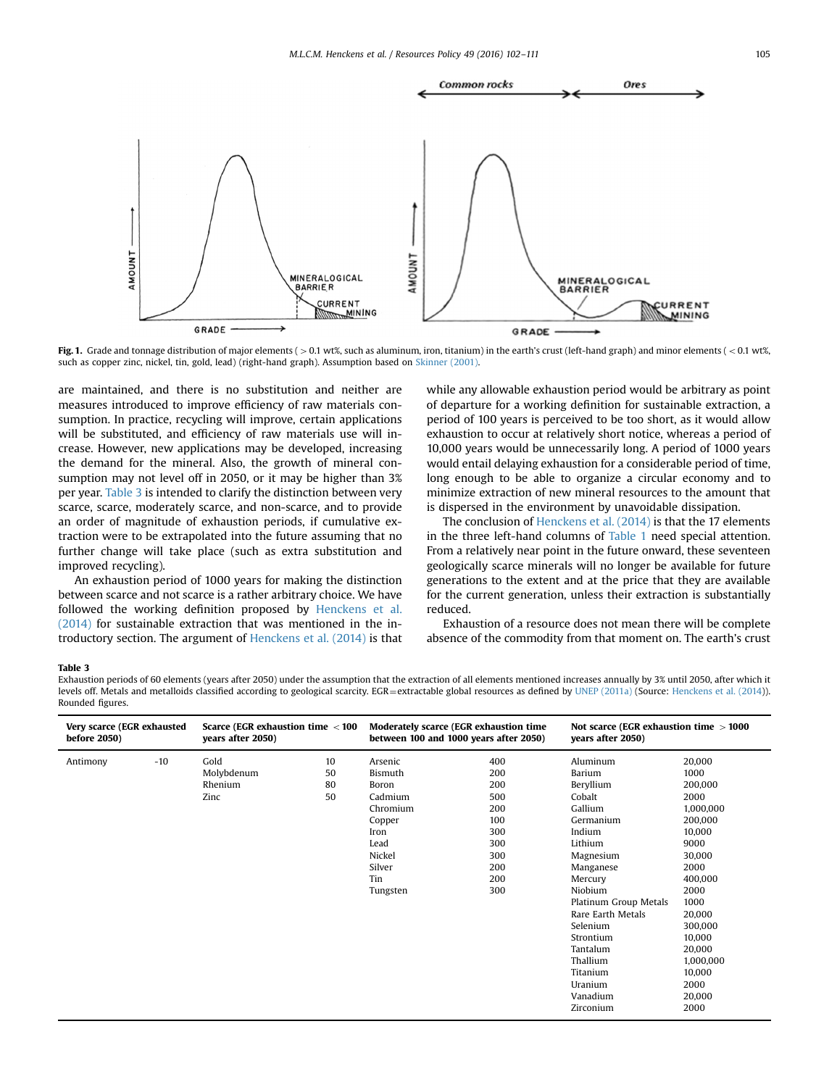<span id="page-3-0"></span>

Fig. 1. Grade and tonnage distribution of major elements ( $>0.1$  wt%, such as aluminum, iron, titanium) in the earth's crust (left-hand graph) and minor elements ( $< 0.1$  wt%, such as copper zinc, nickel, tin, gold, lead) (right-hand graph). Assumption based on [Skinner \(2001\)](#page-9-0).

are maintained, and there is no substitution and neither are measures introduced to improve efficiency of raw materials consumption. In practice, recycling will improve, certain applications will be substituted, and efficiency of raw materials use will increase. However, new applications may be developed, increasing the demand for the mineral. Also, the growth of mineral consumption may not level off in 2050, or it may be higher than 3% per year. Table 3 is intended to clarify the distinction between very scarce, scarce, moderately scarce, and non-scarce, and to provide an order of magnitude of exhaustion periods, if cumulative extraction were to be extrapolated into the future assuming that no further change will take place (such as extra substitution and improved recycling).

An exhaustion period of 1000 years for making the distinction between scarce and not scarce is a rather arbitrary choice. We have followed the working definition proposed by [Henckens et al.](#page-9-0) [\(2014\)](#page-9-0) for sustainable extraction that was mentioned in the introductory section. The argument of [Henckens et al. \(2014\)](#page-9-0) is that while any allowable exhaustion period would be arbitrary as point of departure for a working definition for sustainable extraction, a period of 100 years is perceived to be too short, as it would allow exhaustion to occur at relatively short notice, whereas a period of 10,000 years would be unnecessarily long. A period of 1000 years would entail delaying exhaustion for a considerable period of time, long enough to be able to organize a circular economy and to minimize extraction of new mineral resources to the amount that is dispersed in the environment by unavoidable dissipation.

The conclusion of [Henckens et al. \(2014\)](#page-9-0) is that the 17 elements in the three left-hand columns of [Table 1](#page-1-0) need special attention. From a relatively near point in the future onward, these seventeen geologically scarce minerals will no longer be available for future generations to the extent and at the price that they are available for the current generation, unless their extraction is substantially reduced.

Exhaustion of a resource does not mean there will be complete absence of the commodity from that moment on. The earth's crust

### Table 3

Exhaustion periods of 60 elements (years after 2050) under the assumption that the extraction of all elements mentioned increases annually by 3% until 2050, after which it levels off. Metals and metalloids classified according to geological scarcity. EGR=extractable global resources as defined by [UNEP \(2011a\)](#page-9-0) (Source: [Henckens et al. \(2014](#page-9-0))). Rounded figures.

| Very scarce (EGR exhausted<br><b>before 2050)</b> | Scarce (EGR exhaustion time < 100<br>years after 2050)        |                                                                                                                     | Moderately scarce (EGR exhaustion time<br>between 100 and 1000 years after 2050) |                                                                                                                                                                                                                                                                                       | Not scarce (EGR exhaustion time $>1000$                                                                                                                                                                            |
|---------------------------------------------------|---------------------------------------------------------------|---------------------------------------------------------------------------------------------------------------------|----------------------------------------------------------------------------------|---------------------------------------------------------------------------------------------------------------------------------------------------------------------------------------------------------------------------------------------------------------------------------------|--------------------------------------------------------------------------------------------------------------------------------------------------------------------------------------------------------------------|
| $-10$<br>Antimony                                 | 10<br>Gold<br>Molybdenum<br>50<br>Rhenium<br>80<br>Zinc<br>50 | Arsenic<br>Bismuth<br>Boron<br>Cadmium<br>Chromium<br>Copper<br>Iron<br>Lead<br>Nickel<br>Silver<br>Tin<br>Tungsten | 400<br>200<br>200<br>500<br>200<br>100<br>300<br>300<br>300<br>200<br>200<br>300 | Aluminum<br>Barium<br>Beryllium<br>Cobalt<br>Gallium<br>Germanium<br>Indium<br>Lithium<br>Magnesium<br>Manganese<br>Mercury<br>Niobium<br>Platinum Group Metals<br>Rare Earth Metals<br>Selenium<br>Strontium<br>Tantalum<br>Thallium<br>Titanium<br>Uranium<br>Vanadium<br>Zirconium | 20,000<br>1000<br>200,000<br>2000<br>1,000,000<br>200,000<br>10,000<br>9000<br>30,000<br>2000<br>400,000<br>2000<br>1000<br>20,000<br>300,000<br>10,000<br>20,000<br>1,000,000<br>10,000<br>2000<br>20,000<br>2000 |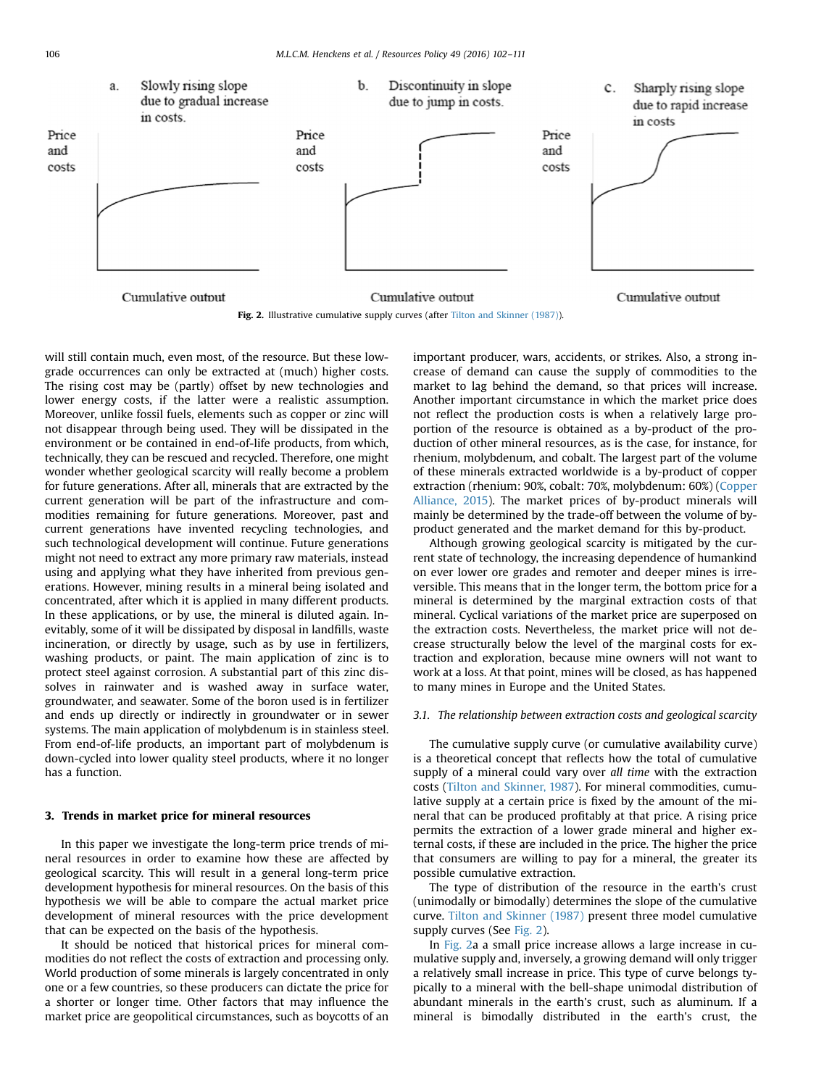<span id="page-4-0"></span>

will still contain much, even most, of the resource. But these lowgrade occurrences can only be extracted at (much) higher costs. The rising cost may be (partly) offset by new technologies and lower energy costs, if the latter were a realistic assumption. Moreover, unlike fossil fuels, elements such as copper or zinc will not disappear through being used. They will be dissipated in the environment or be contained in end-of-life products, from which, technically, they can be rescued and recycled. Therefore, one might wonder whether geological scarcity will really become a problem for future generations. After all, minerals that are extracted by the current generation will be part of the infrastructure and commodities remaining for future generations. Moreover, past and current generations have invented recycling technologies, and such technological development will continue. Future generations might not need to extract any more primary raw materials, instead using and applying what they have inherited from previous generations. However, mining results in a mineral being isolated and concentrated, after which it is applied in many different products. In these applications, or by use, the mineral is diluted again. Inevitably, some of it will be dissipated by disposal in landfills, waste incineration, or directly by usage, such as by use in fertilizers, washing products, or paint. The main application of zinc is to protect steel against corrosion. A substantial part of this zinc dissolves in rainwater and is washed away in surface water, groundwater, and seawater. Some of the boron used is in fertilizer and ends up directly or indirectly in groundwater or in sewer systems. The main application of molybdenum is in stainless steel. From end-of-life products, an important part of molybdenum is down-cycled into lower quality steel products, where it no longer has a function.

## 3. Trends in market price for mineral resources

In this paper we investigate the long-term price trends of mineral resources in order to examine how these are affected by geological scarcity. This will result in a general long-term price development hypothesis for mineral resources. On the basis of this hypothesis we will be able to compare the actual market price development of mineral resources with the price development that can be expected on the basis of the hypothesis.

It should be noticed that historical prices for mineral commodities do not reflect the costs of extraction and processing only. World production of some minerals is largely concentrated in only one or a few countries, so these producers can dictate the price for a shorter or longer time. Other factors that may influence the market price are geopolitical circumstances, such as boycotts of an important producer, wars, accidents, or strikes. Also, a strong increase of demand can cause the supply of commodities to the market to lag behind the demand, so that prices will increase. Another important circumstance in which the market price does not reflect the production costs is when a relatively large proportion of the resource is obtained as a by-product of the production of other mineral resources, as is the case, for instance, for rhenium, molybdenum, and cobalt. The largest part of the volume of these minerals extracted worldwide is a by-product of copper extraction (rhenium: 90%, cobalt: 70%, molybdenum: 60%) ([Copper](#page-9-0) [Alliance, 2015](#page-9-0)). The market prices of by-product minerals will mainly be determined by the trade-off between the volume of byproduct generated and the market demand for this by-product.

Although growing geological scarcity is mitigated by the current state of technology, the increasing dependence of humankind on ever lower ore grades and remoter and deeper mines is irreversible. This means that in the longer term, the bottom price for a mineral is determined by the marginal extraction costs of that mineral. Cyclical variations of the market price are superposed on the extraction costs. Nevertheless, the market price will not decrease structurally below the level of the marginal costs for extraction and exploration, because mine owners will not want to work at a loss. At that point, mines will be closed, as has happened to many mines in Europe and the United States.

## 3.1. The relationship between extraction costs and geological scarcity

The cumulative supply curve (or cumulative availability curve) is a theoretical concept that reflects how the total of cumulative supply of a mineral could vary over all time with the extraction costs [\(Tilton and Skinner, 1987](#page-9-0)). For mineral commodities, cumulative supply at a certain price is fixed by the amount of the mineral that can be produced profitably at that price. A rising price permits the extraction of a lower grade mineral and higher external costs, if these are included in the price. The higher the price that consumers are willing to pay for a mineral, the greater its possible cumulative extraction.

The type of distribution of the resource in the earth's crust (unimodally or bimodally) determines the slope of the cumulative curve. [Tilton and Skinner \(1987\)](#page-9-0) present three model cumulative supply curves (See Fig. 2).

In Fig. 2a a small price increase allows a large increase in cumulative supply and, inversely, a growing demand will only trigger a relatively small increase in price. This type of curve belongs typically to a mineral with the bell-shape unimodal distribution of abundant minerals in the earth's crust, such as aluminum. If a mineral is bimodally distributed in the earth's crust, the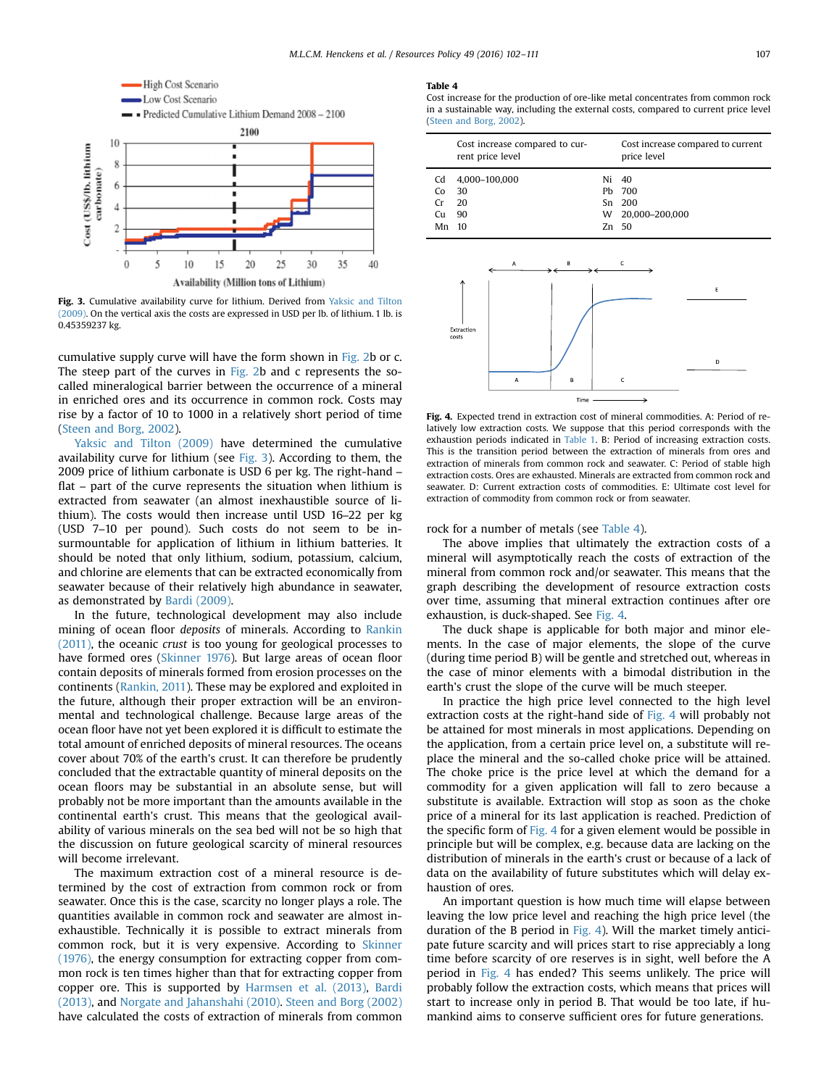<span id="page-5-0"></span>

Fig. 3. Cumulative availability curve for lithium. Derived from [Yaksic and Tilton](#page-9-0) [\(2009\).](#page-9-0) On the vertical axis the costs are expressed in USD per lb. of lithium. 1 lb. is 0.45359237 kg.

cumulative supply curve will have the form shown in [Fig. 2b](#page-4-0) or c. The steep part of the curves in [Fig. 2b](#page-4-0) and c represents the socalled mineralogical barrier between the occurrence of a mineral in enriched ores and its occurrence in common rock. Costs may rise by a factor of 10 to 1000 in a relatively short period of time ([Steen and Borg, 2002](#page-9-0)).

[Yaksic and Tilton \(2009\)](#page-9-0) have determined the cumulative availability curve for lithium (see Fig. 3). According to them, the 2009 price of lithium carbonate is USD 6 per kg. The right-hand – flat – part of the curve represents the situation when lithium is extracted from seawater (an almost inexhaustible source of lithium). The costs would then increase until USD 16–22 per kg (USD 7–10 per pound). Such costs do not seem to be insurmountable for application of lithium in lithium batteries. It should be noted that only lithium, sodium, potassium, calcium, and chlorine are elements that can be extracted economically from seawater because of their relatively high abundance in seawater, as demonstrated by [Bardi \(2009\).](#page-9-0)

In the future, technological development may also include mining of ocean floor deposits of minerals. According to [Rankin](#page-9-0) [\(2011\)](#page-9-0), the oceanic crust is too young for geological processes to have formed ores ([Skinner 1976](#page-9-0)). But large areas of ocean floor contain deposits of minerals formed from erosion processes on the continents ([Rankin, 2011](#page-9-0)). These may be explored and exploited in the future, although their proper extraction will be an environmental and technological challenge. Because large areas of the ocean floor have not yet been explored it is difficult to estimate the total amount of enriched deposits of mineral resources. The oceans cover about 70% of the earth's crust. It can therefore be prudently concluded that the extractable quantity of mineral deposits on the ocean floors may be substantial in an absolute sense, but will probably not be more important than the amounts available in the continental earth's crust. This means that the geological availability of various minerals on the sea bed will not be so high that the discussion on future geological scarcity of mineral resources will become irrelevant.

The maximum extraction cost of a mineral resource is determined by the cost of extraction from common rock or from seawater. Once this is the case, scarcity no longer plays a role. The quantities available in common rock and seawater are almost inexhaustible. Technically it is possible to extract minerals from common rock, but it is very expensive. According to [Skinner](#page-9-0) [\(1976\),](#page-9-0) the energy consumption for extracting copper from common rock is ten times higher than that for extracting copper from copper ore. This is supported by [Harmsen et al. \(2013\)](#page-9-0), [Bardi](#page-9-0) [\(2013\),](#page-9-0) and [Norgate and Jahanshahi \(2010\)](#page-9-0). [Steen and Borg \(2002\)](#page-9-0) have calculated the costs of extraction of minerals from common

#### Table 4

Cost increase for the production of ore-like metal concentrates from common rock in a sustainable way, including the external costs, compared to current price level ([Steen and Borg, 2002](#page-9-0)).

|                               | Cost increase compared to cur-<br>rent price level | Cost increase compared to current<br>price level             |
|-------------------------------|----------------------------------------------------|--------------------------------------------------------------|
| $Co$ 30<br>Cr.<br>Cu<br>Mn 10 | Cd 4.000-100.000<br>20<br>90                       | Ni 40<br>Pb 700<br>$Sn$ 200<br>W 20.000-200.000<br>$Zn = 50$ |
|                               |                                                    |                                                              |



Fig. 4. Expected trend in extraction cost of mineral commodities. A: Period of relatively low extraction costs. We suppose that this period corresponds with the exhaustion periods indicated in [Table 1.](#page-1-0) B: Period of increasing extraction costs. This is the transition period between the extraction of minerals from ores and extraction of minerals from common rock and seawater. C: Period of stable high extraction costs. Ores are exhausted. Minerals are extracted from common rock and seawater. D: Current extraction costs of commodities. E: Ultimate cost level for extraction of commodity from common rock or from seawater.

## rock for a number of metals (see Table 4).

The above implies that ultimately the extraction costs of a mineral will asymptotically reach the costs of extraction of the mineral from common rock and/or seawater. This means that the graph describing the development of resource extraction costs over time, assuming that mineral extraction continues after ore exhaustion, is duck-shaped. See Fig. 4.

The duck shape is applicable for both major and minor elements. In the case of major elements, the slope of the curve (during time period B) will be gentle and stretched out, whereas in the case of minor elements with a bimodal distribution in the earth's crust the slope of the curve will be much steeper.

In practice the high price level connected to the high level extraction costs at the right-hand side of Fig. 4 will probably not be attained for most minerals in most applications. Depending on the application, from a certain price level on, a substitute will replace the mineral and the so-called choke price will be attained. The choke price is the price level at which the demand for a commodity for a given application will fall to zero because a substitute is available. Extraction will stop as soon as the choke price of a mineral for its last application is reached. Prediction of the specific form of Fig. 4 for a given element would be possible in principle but will be complex, e.g. because data are lacking on the distribution of minerals in the earth's crust or because of a lack of data on the availability of future substitutes which will delay exhaustion of ores.

An important question is how much time will elapse between leaving the low price level and reaching the high price level (the duration of the B period in Fig. 4). Will the market timely anticipate future scarcity and will prices start to rise appreciably a long time before scarcity of ore reserves is in sight, well before the A period in Fig. 4 has ended? This seems unlikely. The price will probably follow the extraction costs, which means that prices will start to increase only in period B. That would be too late, if humankind aims to conserve sufficient ores for future generations.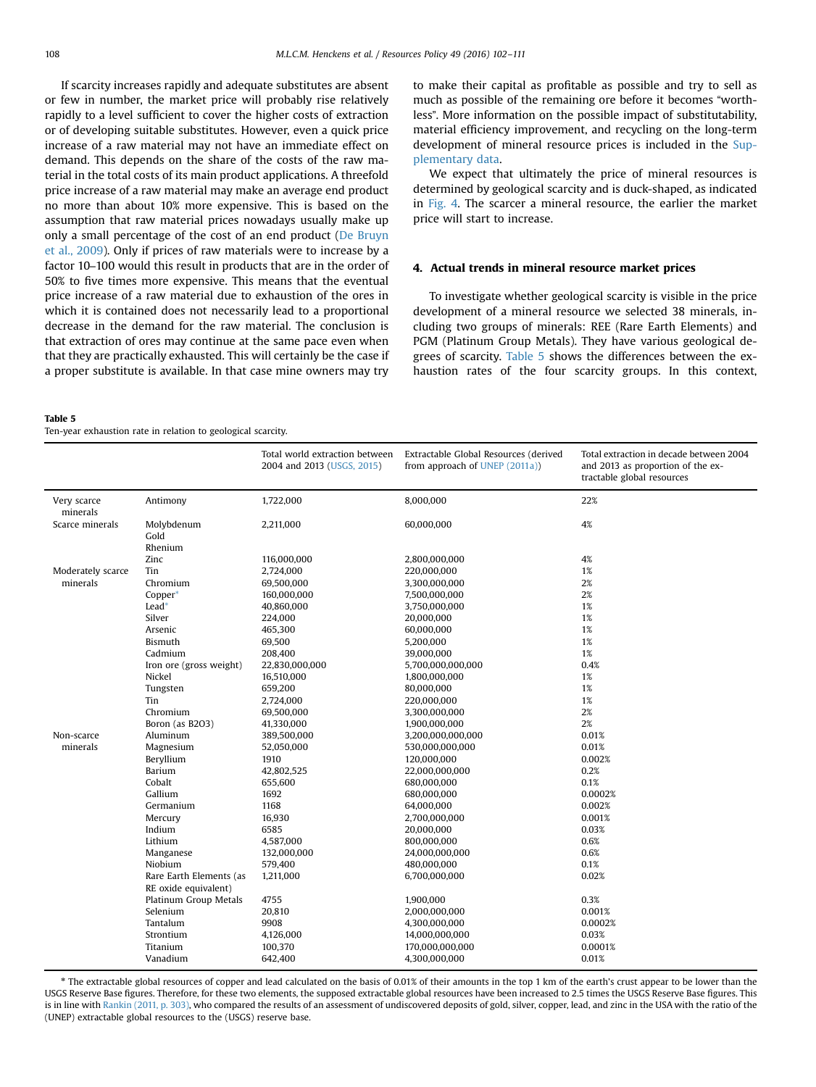<span id="page-6-0"></span>If scarcity increases rapidly and adequate substitutes are absent or few in number, the market price will probably rise relatively rapidly to a level sufficient to cover the higher costs of extraction or of developing suitable substitutes. However, even a quick price increase of a raw material may not have an immediate effect on demand. This depends on the share of the costs of the raw material in the total costs of its main product applications. A threefold price increase of a raw material may make an average end product no more than about 10% more expensive. This is based on the assumption that raw material prices nowadays usually make up only a small percentage of the cost of an end product ([De Bruyn](#page-9-0) [et al., 2009](#page-9-0)). Only if prices of raw materials were to increase by a factor 10–100 would this result in products that are in the order of 50% to five times more expensive. This means that the eventual price increase of a raw material due to exhaustion of the ores in which it is contained does not necessarily lead to a proportional decrease in the demand for the raw material. The conclusion is that extraction of ores may continue at the same pace even when that they are practically exhausted. This will certainly be the case if a proper substitute is available. In that case mine owners may try

Table 5

Ten-year exhaustion rate in relation to geological scarcity.

to make their capital as profitable as possible and try to sell as much as possible of the remaining ore before it becomes "worthless". More information on the possible impact of substitutability, material efficiency improvement, and recycling on the long-term development of mineral resource prices is included in the [Sup](#page-9-0)[plementary data.](#page-9-0)

We expect that ultimately the price of mineral resources is determined by geological scarcity and is duck-shaped, as indicated in [Fig. 4](#page-5-0). The scarcer a mineral resource, the earlier the market price will start to increase.

# 4. Actual trends in mineral resource market prices

To investigate whether geological scarcity is visible in the price development of a mineral resource we selected 38 minerals, including two groups of minerals: REE (Rare Earth Elements) and PGM (Platinum Group Metals). They have various geological degrees of scarcity. Table 5 shows the differences between the exhaustion rates of the four scarcity groups. In this context,

|                         |                               | Total world extraction between<br>2004 and 2013 (USGS, 2015) | Extractable Global Resources (derived<br>from approach of UNEP (2011a)) | Total extraction in decade between 2004<br>and 2013 as proportion of the ex-<br>tractable global resources |
|-------------------------|-------------------------------|--------------------------------------------------------------|-------------------------------------------------------------------------|------------------------------------------------------------------------------------------------------------|
| Very scarce<br>minerals | Antimony                      | 1,722,000                                                    | 8,000,000                                                               | 22%                                                                                                        |
| Scarce minerals         | Molybdenum<br>Gold<br>Rhenium | 2,211,000                                                    | 60,000,000                                                              | 4%                                                                                                         |
|                         | Zinc                          | 116,000,000                                                  | 2,800,000,000                                                           | 4%                                                                                                         |
| Moderately scarce       | Tin                           | 2,724,000                                                    | 220,000,000                                                             | 1%                                                                                                         |
| minerals                | Chromium                      | 69,500,000                                                   | 3,300,000,000                                                           | 2%                                                                                                         |
|                         | Copper*                       | 160,000,000                                                  | 7,500,000,000                                                           | 2%                                                                                                         |
|                         | Lead*                         | 40,860,000                                                   | 3,750,000,000                                                           | 1%                                                                                                         |
|                         | Silver                        | 224,000                                                      | 20,000,000                                                              | 1%                                                                                                         |
|                         | Arsenic                       | 465,300                                                      | 60,000,000                                                              | 1%                                                                                                         |
|                         | Bismuth                       | 69,500                                                       | 5,200,000                                                               | 1%                                                                                                         |
|                         | Cadmium                       | 208,400                                                      | 39,000,000                                                              | 1%                                                                                                         |
|                         | Iron ore (gross weight)       | 22,830,000,000                                               | 5,700,000,000,000                                                       | 0.4%                                                                                                       |
|                         | Nickel                        | 16,510,000                                                   | 1,800,000,000                                                           | 1%                                                                                                         |
|                         | Tungsten                      | 659,200                                                      | 80,000,000                                                              | 1%                                                                                                         |
|                         | Tin                           | 2,724,000                                                    | 220,000,000                                                             | 1%                                                                                                         |
|                         | Chromium                      | 69,500,000                                                   | 3,300,000,000                                                           | 2%                                                                                                         |
|                         | Boron (as B2O3)               | 41,330,000                                                   | 1,900,000,000                                                           | 2%                                                                                                         |
| Non-scarce              | Aluminum                      | 389,500,000                                                  | 3,200,000,000,000                                                       | 0.01%                                                                                                      |
| minerals                | Magnesium                     | 52,050,000                                                   | 530,000,000,000                                                         | 0.01%                                                                                                      |
|                         | Beryllium                     | 1910                                                         | 120,000,000                                                             | 0.002%                                                                                                     |
|                         | Barium                        | 42,802,525                                                   | 22,000,000,000                                                          | 0.2%                                                                                                       |
|                         | Cobalt                        | 655,600                                                      | 680,000,000                                                             | 0.1%                                                                                                       |
|                         | Gallium                       | 1692                                                         | 680,000,000                                                             | 0.0002%                                                                                                    |
|                         | Germanium                     | 1168                                                         | 64,000,000                                                              | 0.002%                                                                                                     |
|                         | Mercury                       | 16,930                                                       | 2,700,000,000                                                           | 0.001%                                                                                                     |
|                         | Indium                        | 6585                                                         | 20,000,000                                                              | 0.03%                                                                                                      |
|                         | Lithium                       | 4,587,000                                                    | 800,000,000                                                             | 0.6%                                                                                                       |
|                         | Manganese                     | 132,000,000                                                  | 24,000,000,000                                                          | 0.6%                                                                                                       |
|                         | Niobium                       | 579,400                                                      | 480,000,000                                                             | 0.1%                                                                                                       |
|                         | Rare Earth Elements (as       | 1,211,000                                                    | 6,700,000,000                                                           | 0.02%                                                                                                      |
|                         | RE oxide equivalent)          |                                                              |                                                                         |                                                                                                            |
|                         | Platinum Group Metals         | 4755                                                         | 1,900,000                                                               | 0.3%                                                                                                       |
|                         | Selenium                      | 20.810                                                       | 2,000,000,000                                                           | 0.001%                                                                                                     |
|                         | Tantalum                      | 9908                                                         | 4,300,000,000                                                           | 0.0002%                                                                                                    |
|                         | Strontium                     | 4,126,000                                                    | 14,000,000,000                                                          | 0.03%                                                                                                      |
|                         | Titanium                      | 100,370                                                      | 170,000,000,000                                                         | 0.0001%                                                                                                    |
|                         | Vanadium                      | 642,400                                                      | 4,300,000,000                                                           | 0.01%                                                                                                      |

<sup>n</sup> The extractable global resources of copper and lead calculated on the basis of 0.01% of their amounts in the top 1 km of the earth's crust appear to be lower than the USGS Reserve Base figures. Therefore, for these two elements, the supposed extractable global resources have been increased to 2.5 times the USGS Reserve Base figures. This is in line with [Rankin \(2011, p. 303\)](#page-9-0), who compared the results of an assessment of undiscovered deposits of gold, silver, copper, lead, and zinc in the USA with the ratio of the (UNEP) extractable global resources to the (USGS) reserve base.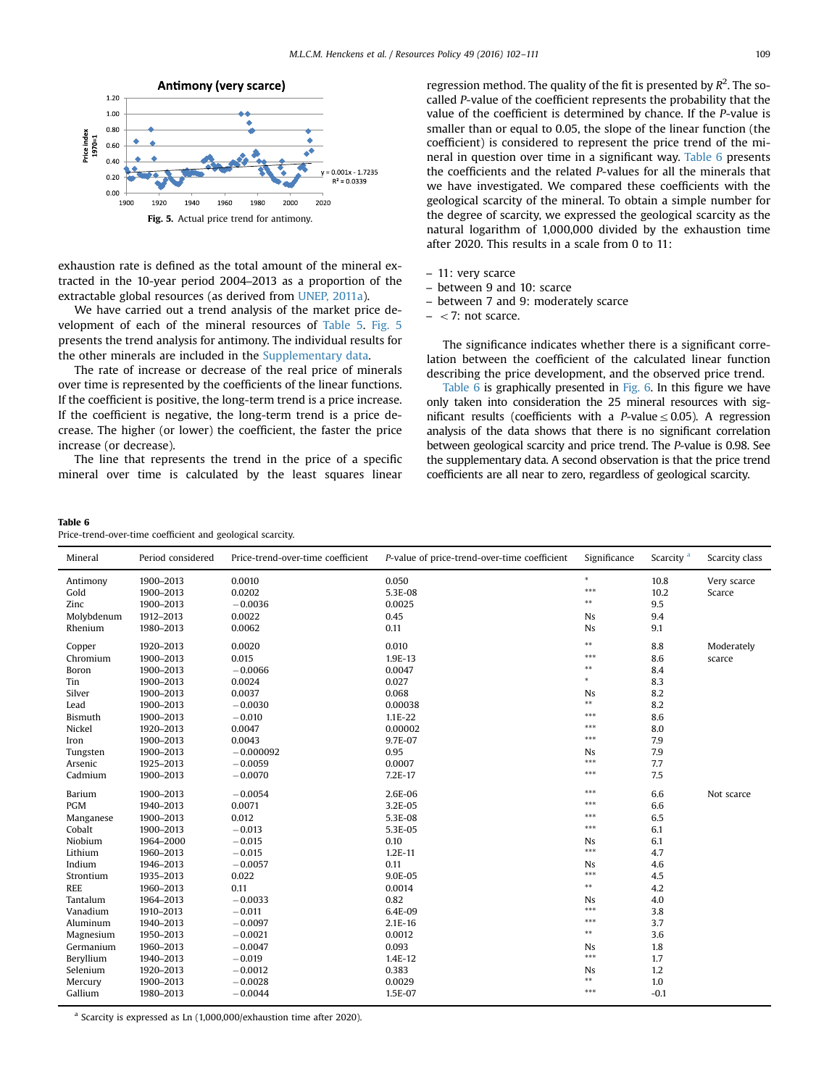

exhaustion rate is defined as the total amount of the mineral extracted in the 10-year period 2004–2013 as a proportion of the extractable global resources (as derived from [UNEP, 2011a](#page-9-0)).

We have carried out a trend analysis of the market price development of each of the mineral resources of [Table 5](#page-6-0). Fig. 5 presents the trend analysis for antimony. The individual results for the other minerals are included in the [Supplementary data](#page-9-0).

The rate of increase or decrease of the real price of minerals over time is represented by the coefficients of the linear functions. If the coefficient is positive, the long-term trend is a price increase. If the coefficient is negative, the long-term trend is a price decrease. The higher (or lower) the coefficient, the faster the price increase (or decrease).

The line that represents the trend in the price of a specific mineral over time is calculated by the least squares linear

regression method. The quality of the fit is presented by  $R^2$ . The socalled P-value of the coefficient represents the probability that the value of the coefficient is determined by chance. If the P-value is smaller than or equal to 0.05, the slope of the linear function (the coefficient) is considered to represent the price trend of the mineral in question over time in a significant way. Table 6 presents the coefficients and the related P-values for all the minerals that we have investigated. We compared these coefficients with the geological scarcity of the mineral. To obtain a simple number for the degree of scarcity, we expressed the geological scarcity as the natural logarithm of 1,000,000 divided by the exhaustion time after 2020. This results in a scale from 0 to 11:

- 11: very scarce
- between 9 and 10: scarce
- between 7 and 9: moderately scarce
- $< 7$ : not scarce.

The significance indicates whether there is a significant correlation between the coefficient of the calculated linear function describing the price development, and the observed price trend.

Table 6 is graphically presented in [Fig. 6.](#page-8-0) In this figure we have only taken into consideration the 25 mineral resources with significant results (coefficients with a P-value  $\leq$  0.05). A regression analysis of the data shows that there is no significant correlation between geological scarcity and price trend. The P-value is 0.98. See the supplementary data. A second observation is that the price trend coefficients are all near to zero, regardless of geological scarcity.

#### Table 6

| Price-trend-over-time coefficient and geological scarcity. |  |  |  |  |
|------------------------------------------------------------|--|--|--|--|
|------------------------------------------------------------|--|--|--|--|

| Mineral                                                                                                                                                                                                      | Period considered                                                                                                                                                                                                                      | Price-trend-over-time coefficient                                                                                                                                                                                 | P-value of price-trend-over-time coefficient                                                                                                                                           | Significance                                                                                                                                                   | Scarcity <sup>a</sup>                                                                                                         | Scarcity class        |
|--------------------------------------------------------------------------------------------------------------------------------------------------------------------------------------------------------------|----------------------------------------------------------------------------------------------------------------------------------------------------------------------------------------------------------------------------------------|-------------------------------------------------------------------------------------------------------------------------------------------------------------------------------------------------------------------|----------------------------------------------------------------------------------------------------------------------------------------------------------------------------------------|----------------------------------------------------------------------------------------------------------------------------------------------------------------|-------------------------------------------------------------------------------------------------------------------------------|-----------------------|
| Antimony<br>Gold<br>Zinc<br>Molybdenum<br>Rhenium                                                                                                                                                            | 1900-2013<br>1900-2013<br>1900-2013<br>1912-2013<br>1980-2013                                                                                                                                                                          | 0.0010<br>0.0202<br>$-0.0036$<br>0.0022<br>0.0062                                                                                                                                                                 | 0.050<br>5.3E-08<br>0.0025<br>0.45<br>0.11                                                                                                                                             | $\ast$<br>***<br>$***$<br><b>Ns</b><br><b>Ns</b>                                                                                                               | 10.8<br>10.2<br>9.5<br>9.4<br>9.1                                                                                             | Very scarce<br>Scarce |
| Copper<br>Chromium<br>Boron<br>Tin<br>Silver<br>Lead<br>Bismuth<br>Nickel<br>Iron<br>Tungsten<br>Arsenic<br>Cadmium                                                                                          | 1920-2013<br>1900-2013<br>1900-2013<br>1900-2013<br>1900-2013<br>1900-2013<br>1900-2013<br>1920-2013<br>1900-2013<br>1900-2013<br>1925-2013<br>1900-2013                                                                               | 0.0020<br>0.015<br>$-0.0066$<br>0.0024<br>0.0037<br>$-0.0030$<br>$-0.010$<br>0.0047<br>0.0043<br>$-0.000092$<br>$-0.0059$<br>$-0.0070$                                                                            | 0.010<br>1.9E-13<br>0.0047<br>0.027<br>0.068<br>0.00038<br>$1.1E-22$<br>0.00002<br>9.7E-07<br>0.95<br>0.0007<br>$7.2E-17$                                                              | $***$<br>***<br>$***$<br>$\ast$<br><b>Ns</b><br>$***$<br>***<br>***<br>***<br><b>Ns</b><br>***<br>***                                                          | 8.8<br>8.6<br>8.4<br>8.3<br>8.2<br>8.2<br>8.6<br>8.0<br>7.9<br>7.9<br>7.7<br>7.5                                              | Moderately<br>scarce  |
| Barium<br>PGM<br>Manganese<br>Cobalt<br>Niobium<br>Lithium<br>Indium<br>Strontium<br><b>REE</b><br>Tantalum<br>Vanadium<br>Aluminum<br>Magnesium<br>Germanium<br>Beryllium<br>Selenium<br>Mercury<br>Gallium | 1900-2013<br>1940-2013<br>1900-2013<br>1900-2013<br>1964-2000<br>1960-2013<br>1946-2013<br>1935-2013<br>1960-2013<br>1964-2013<br>1910-2013<br>1940-2013<br>1950-2013<br>1960-2013<br>1940-2013<br>1920-2013<br>1900-2013<br>1980-2013 | $-0.0054$<br>0.0071<br>0.012<br>$-0.013$<br>$-0.015$<br>$-0.015$<br>$-0.0057$<br>0.022<br>0.11<br>$-0.0033$<br>$-0.011$<br>$-0.0097$<br>$-0.0021$<br>$-0.0047$<br>$-0.019$<br>$-0.0012$<br>$-0.0028$<br>$-0.0044$ | 2.6E-06<br>3.2E-05<br>5.3E-08<br>5.3E-05<br>0.10<br>$1.2E-11$<br>0.11<br>9.0E-05<br>0.0014<br>0.82<br>6.4E-09<br>$2.1E-16$<br>0.0012<br>0.093<br>1.4E-12<br>0.383<br>0.0029<br>1.5E-07 | ***<br>***<br>***<br>***<br><b>Ns</b><br>***<br><b>Ns</b><br>***<br>$***$<br><b>Ns</b><br>***<br>***<br>$***$<br><b>Ns</b><br>***<br><b>Ns</b><br>$***$<br>*** | 6.6<br>6.6<br>6.5<br>6.1<br>6.1<br>4.7<br>4.6<br>4.5<br>4.2<br>4.0<br>3.8<br>3.7<br>3.6<br>1.8<br>1.7<br>1.2<br>1.0<br>$-0.1$ | Not scarce            |

<sup>a</sup> Scarcity is expressed as Ln (1,000,000/exhaustion time after 2020).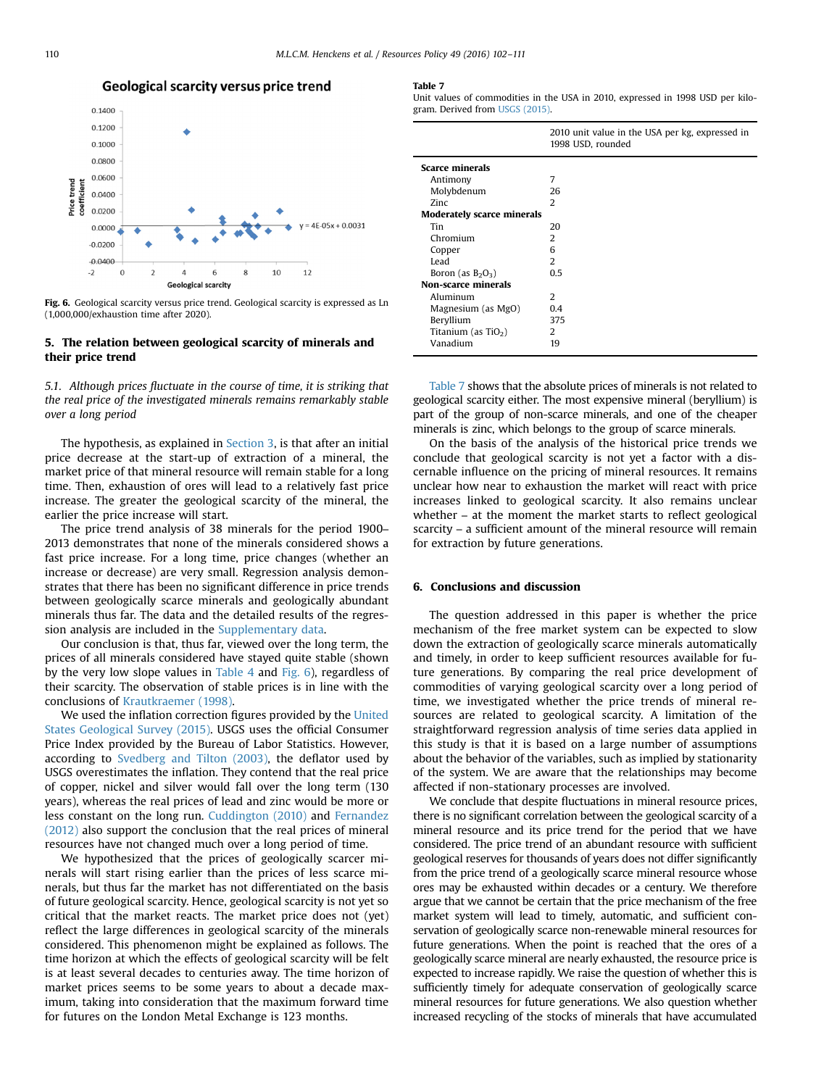<span id="page-8-0"></span>

**Geological scarcity versus price trend** 

Fig. 6. Geological scarcity versus price trend. Geological scarcity is expressed as Ln (1,000,000/exhaustion time after 2020).

## 5. The relation between geological scarcity of minerals and their price trend

5.1. Although prices fluctuate in the course of time, it is striking that the real price of the investigated minerals remains remarkably stable over a long period

The hypothesis, as explained in [Section 3](#page-4-0), is that after an initial price decrease at the start-up of extraction of a mineral, the market price of that mineral resource will remain stable for a long time. Then, exhaustion of ores will lead to a relatively fast price increase. The greater the geological scarcity of the mineral, the earlier the price increase will start.

The price trend analysis of 38 minerals for the period 1900– 2013 demonstrates that none of the minerals considered shows a fast price increase. For a long time, price changes (whether an increase or decrease) are very small. Regression analysis demonstrates that there has been no significant difference in price trends between geologically scarce minerals and geologically abundant minerals thus far. The data and the detailed results of the regression analysis are included in the [Supplementary data](#page-9-0).

Our conclusion is that, thus far, viewed over the long term, the prices of all minerals considered have stayed quite stable (shown by the very low slope values in [Table 4](#page-5-0) and Fig. 6), regardless of their scarcity. The observation of stable prices is in line with the conclusions of [Krautkraemer \(1998\).](#page-9-0)

We used the inflation correction figures provided by the [United](#page-9-0) [States Geological Survey \(2015\).](#page-9-0) USGS uses the official Consumer Price Index provided by the Bureau of Labor Statistics. However, according to [Svedberg and Tilton \(2003\)](#page-9-0), the deflator used by USGS overestimates the inflation. They contend that the real price of copper, nickel and silver would fall over the long term (130 years), whereas the real prices of lead and zinc would be more or less constant on the long run. [Cuddington \(2010\)](#page-9-0) and [Fernandez](#page-9-0) [\(2012\)](#page-9-0) also support the conclusion that the real prices of mineral resources have not changed much over a long period of time.

We hypothesized that the prices of geologically scarcer minerals will start rising earlier than the prices of less scarce minerals, but thus far the market has not differentiated on the basis of future geological scarcity. Hence, geological scarcity is not yet so critical that the market reacts. The market price does not (yet) reflect the large differences in geological scarcity of the minerals considered. This phenomenon might be explained as follows. The time horizon at which the effects of geological scarcity will be felt is at least several decades to centuries away. The time horizon of market prices seems to be some years to about a decade maximum, taking into consideration that the maximum forward time for futures on the London Metal Exchange is 123 months.

#### Table 7

Unit values of commodities in the USA in 2010, expressed in 1998 USD per kilogram. Derived from [USGS \(2015\).](#page-9-0)

|                                   | 2010 unit value in the USA per kg, expressed in<br>1998 USD, rounded |
|-----------------------------------|----------------------------------------------------------------------|
| <b>Scarce minerals</b>            |                                                                      |
| Antimony                          | 7                                                                    |
| Molybdenum                        | 26                                                                   |
| Zinc.                             | 2                                                                    |
| <b>Moderately scarce minerals</b> |                                                                      |
| Tin                               | 20                                                                   |
| Chromium                          | $\overline{2}$                                                       |
| Copper                            | 6                                                                    |
| Lead                              | $\mathfrak{D}$                                                       |
| Boron (as $B_2O_3$ )              | 0.5                                                                  |
| <b>Non-scarce minerals</b>        |                                                                      |
| Aluminum                          | 2                                                                    |
| Magnesium (as MgO)                | 0.4                                                                  |
| Beryllium                         | 375                                                                  |
| Titanium (as $TiO2$ )             | 2                                                                    |
| Vanadium                          | 19                                                                   |

Table 7 shows that the absolute prices of minerals is not related to geological scarcity either. The most expensive mineral (beryllium) is part of the group of non-scarce minerals, and one of the cheaper minerals is zinc, which belongs to the group of scarce minerals.

On the basis of the analysis of the historical price trends we conclude that geological scarcity is not yet a factor with a discernable influence on the pricing of mineral resources. It remains unclear how near to exhaustion the market will react with price increases linked to geological scarcity. It also remains unclear whether – at the moment the market starts to reflect geological scarcity – a sufficient amount of the mineral resource will remain for extraction by future generations.

## 6. Conclusions and discussion

The question addressed in this paper is whether the price mechanism of the free market system can be expected to slow down the extraction of geologically scarce minerals automatically and timely, in order to keep sufficient resources available for future generations. By comparing the real price development of commodities of varying geological scarcity over a long period of time, we investigated whether the price trends of mineral resources are related to geological scarcity. A limitation of the straightforward regression analysis of time series data applied in this study is that it is based on a large number of assumptions about the behavior of the variables, such as implied by stationarity of the system. We are aware that the relationships may become affected if non-stationary processes are involved.

We conclude that despite fluctuations in mineral resource prices, there is no significant correlation between the geological scarcity of a mineral resource and its price trend for the period that we have considered. The price trend of an abundant resource with sufficient geological reserves for thousands of years does not differ significantly from the price trend of a geologically scarce mineral resource whose ores may be exhausted within decades or a century. We therefore argue that we cannot be certain that the price mechanism of the free market system will lead to timely, automatic, and sufficient conservation of geologically scarce non-renewable mineral resources for future generations. When the point is reached that the ores of a geologically scarce mineral are nearly exhausted, the resource price is expected to increase rapidly. We raise the question of whether this is sufficiently timely for adequate conservation of geologically scarce mineral resources for future generations. We also question whether increased recycling of the stocks of minerals that have accumulated